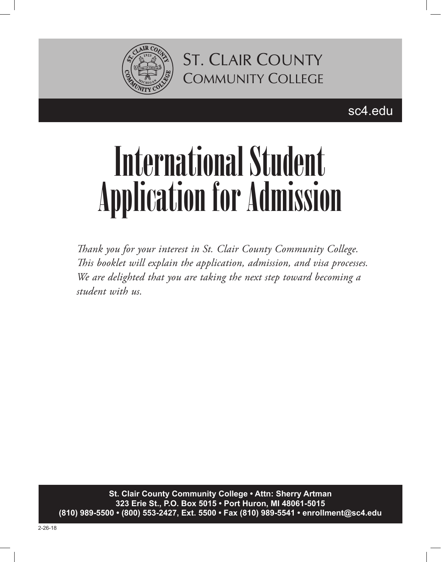

sc4.edu

# International Student Application for Admission

*Thank you for your interest in St. Clair County Community College. This booklet will explain the application, admission, and visa processes. We are delighted that you are taking the next step toward becoming a student with us.*

**St. Clair County Community College • Attn: Sherry Artman 323 Erie St., P.O. Box 5015 • Port Huron, MI 48061-5015 (810) 989-5500 • (800) 553-2427, Ext. 5500 • Fax (810) 989-5541 • enrollment@sc4.edu**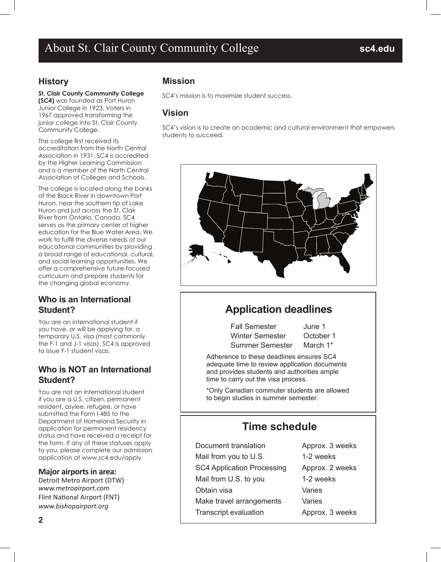## About St. Clair County Community College **sc4.edu**

#### **History**

#### **St. Clair County Community College**

**(SC4)** was founded as Port Huron Junior College in 1923. Voters in 1967 approved transforming the junior college into St. Clair County Community College.

The college first received its accreditation from the North Central Association in 1931. SC4 is accredited by the Higher Learning Commission and is a member of the North Central Association of Colleges and Schools.

The college is located along the banks of the Black River in downtown Port Huron, near the southern tip of Lake Huron and just across the St. Clair River from Ontario, Canada. SC4 serves as the primary center of higher education for the Blue Water Area. We work to fulfill the diverse needs of our educational communities by providing a broad range of educational, cultural, and social learning opportunities. We offer a comprehensive future-focused curriculum and prepare students for the changing global economy.

#### **Who is an International Student?**

You are an international student if you have, or will be applying for, a temporary U.S. visa (most commonly the F-1 and J-1 visas). SC4 is approved to issue F-1 student visas.

#### **Who is NOT an International Student?**

You are not an international student if you are a U.S. citizen, permanent resident, asylee, refugee, or have submitted the Form I-485 to the Department of Homeland Security in application for permanent residency status and have received a receipt for the form. If any of these statuses apply to you, please complete our admission application at www.sc4.edu/apply

#### **Major airports in area:**

Detroit Metro Airport (DTW) *www.metroairport.com* Flint National Airport (FNT) *www.bishopairport.org*

#### **Mission**

SC4's mission is to maximize student success.

#### **Vision**

SC4's vision is to create an academic and cultural environment that empowers students to succeed.



## **Application deadlines**

Fall Semester June 1 Winter Semester October 1 Summer Semester March 1\*

Adherence to these deadlines ensures SC4 adequate time to review application documents and provides students and authorities ample time to carry out the visa process.

\*Only Canadian commuter students are allowed to begin studies in summer semester.

## **Time schedule**

| Document translation              | Approx. 3 weeks |
|-----------------------------------|-----------------|
| Mail from you to U.S.             | 1-2 weeks       |
| <b>SC4 Application Processing</b> | Approx. 2 weeks |
| Mail from U.S. to you             | 1-2 weeks       |
| Obtain visa                       | Varies          |
| Make travel arrangements          | Varies          |
| <b>Transcript evaluation</b>      | Approx. 3 weeks |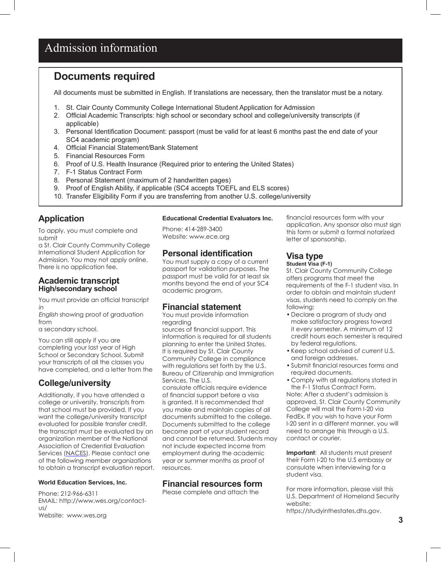## Admission information

### **Documents required**

All documents must be submitted in English. If translations are necessary, then the translator must be a notary.

- 1. St. Clair County Community College International Student Application for Admission
- 2. Official Academic Transcripts: high school or secondary school and college/university transcripts (if applicable)
- 3. Personal Identification Document: passport (must be valid for at least 6 months past the end date of your SC4 academic program)
- 4. Official Financial Statement/Bank Statement
- 5. Financial Resources Form
- 6. Proof of U.S. Health Insurance (Required prior to entering the United States)
- 7. F-1 Status Contract Form
- 8. Personal Statement (maximum of 2 handwritten pages)
- 9. Proof of English Ability, if applicable (SC4 accepts TOEFL and ELS scores)
- 10. Transfer Eligibility Form if you are transferring from another U.S. college/university

#### **Application**

To apply, you must complete and submit

a St. Clair County Community College International Student Application for Admission. You may not apply online. There is no application fee.

#### **Academic transcript High/secondary school**

You must provide an official transcript in

English showing proof of graduation from

a secondary school.

You can still apply if you are completing your last year of High School or Secondary School. Submit your transcripts of all the classes you have completed, and a letter from the

#### **College/university**

Additionally, if you have attended a college or university, transcripts from that school must be provided. If you want the college/university transcript evaluated for possible transfer credit, the transcript must be evaluated by an organization member of the National Association of Credential Evaluation Services (NACES). Please contact one of the following member organizations to obtain a transcript evaluation report.

#### **World Education Services, Inc.**

Phone: 212-966-6311 EMAIL: http://www.wes.org/contactus/ Website: www.wes.org

#### **Educational Credential Evaluators Inc.**

Phone: 414-289-3400 Website: www.ece.org

#### **Personal identification**

You must supply a copy of a current passport for validation purposes. The passport must be valid for at least six months beyond the end of your SC4 academic program.

#### **Financial statement**

You must provide information regarding sources of financial support. This

information is required for all students planning to enter the United States. It is required by St. Clair County Community College in compliance with regulations set forth by the U.S. Bureau of Citizenship and Immigration Services. The U.S.

consulate officials require evidence of financial support before a visa is granted. It is recommended that you make and maintain copies of all documents submitted to the college. Documents submitted to the college become part of your student record and cannot be returned. Students may not include expected income from employment during the academic year or summer months as proof of resources.

#### **Financial resources form**

Please complete and attach the

financial resources form with your application. Any sponsor also must sign this form or submit a formal notarized letter of sponsorship.

#### **Visa type**

**Student Visa (F-1)**

St. Clair County Community College offers programs that meet the requirements of the F-1 student visa. In order to obtain and maintain student visas, students need to comply on the following:

- Declare a program of study and make satisfactory progress toward it every semester. A minimum of 12 credit hours each semester is required by federal regulations.
- Keep school advised of current U.S. and foreign addresses.
- Submit financial resources forms and required documents.
- Comply with all regulations stated in the F-1 Status Contract Form.

Note: After a student's admission is approved, St. Clair County Community College will mail the Form I-20 via FedEx. If you wish to have your Form I-20 sent in a different manner, you will need to arrange this through a U.S. contact or courier.

**Important**: All students must present their Form I-20 to the U.S embassy or consulate when interviewing for a student visa.

For more information, please visit this U.S. Department of Homeland Security website: https://studyinthestates.dhs.gov.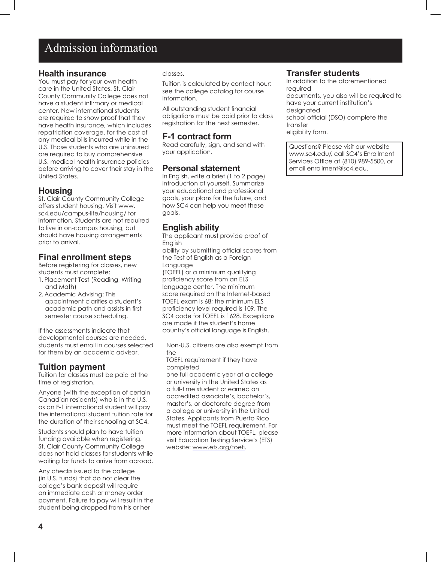## Admission information

#### **Health insurance**

You must pay for your own health care in the United States. St. Clair County Community College does not have a student infirmary or medical center. New international students are required to show proof that they have health insurance, which includes repatriation coverage, for the cost of any medical bills incurred while in the U.S. Those students who are uninsured are required to buy comprehensive U.S. medical health insurance policies before arriving to cover their stay in the United States.

#### **Housing**

St. Clair County Community College offers student housing. Visit www. sc4.edu/campus-life/housing/ for information. Students are not required to live in on-campus housing, but should have housing arrangements prior to arrival.

#### **Final enrollment steps**

Before registering for classes, new students must complete:

- 1. Placement Test (Reading, Writing and Math)
- 2. Academic Advising: This appointment clarifies a student's academic path and assists in first semester course scheduling.

If the assessments indicate that developmental courses are needed, students must enroll in courses selected for them by an academic advisor.

#### **Tuition payment**

Tuition for classes must be paid at the time of registration.

Anyone (with the exception of certain Canadian residents) who is in the U.S. as an F-1 international student will pay the international student tuition rate for the duration of their schooling at SC4.

Students should plan to have tuition funding available when registering. St. Clair County Community College does not hold classes for students while waiting for funds to arrive from abroad.

Any checks issued to the college (in U.S. funds) that do not clear the college's bank deposit will require an immediate cash or money order payment. Failure to pay will result in the student being dropped from his or her

#### classes.

Tuition is calculated by contact hour; see the college catalog for course information.

All outstanding student financial obligations must be paid prior to class registration for the next semester.

#### **F-1 contract form**

Read carefully, sign, and send with your application.

#### **Personal statement**

In English, write a brief (1 to 2 page) introduction of yourself. Summarize your educational and professional goals, your plans for the future, and how SC4 can help you meet these goals.

#### **English ability**

The applicant must provide proof of English

ability by submitting official scores from the Test of English as a Foreign Language (TOEFL) or a minimum qualifying proficiency score from an ELS language center. The minimum score required on the Internet-based TOEFL exam is 68; the minimum ELS proficiency level required is 109. The SC4 code for TOEFL is 1628. Exceptions are made if the student's home country's official language is English.

Non-U.S. citizens are also exempt from the

TOEFL requirement if they have completed

one full academic year at a college or university in the United States as a full-time student or earned an accredited associate's, bachelor's, master's, or doctorate degree from a college or university in the United States. Applicants from Puerto Rico must meet the TOEFL requirement. For more information about TOEFL, please visit Education Testing Service's (ETS) website: www.ets.org/toefl.

#### **Transfer students**

In addition to the aforementioned required documents, you also will be required to have your current institution's designated school official (DSO) complete the transfer eligibility form.

Questions? Please visit our website www.sc4.edu/, call SC4's Enrollment Services Office at (810) 989-5500, or email enrollment@sc4.edu.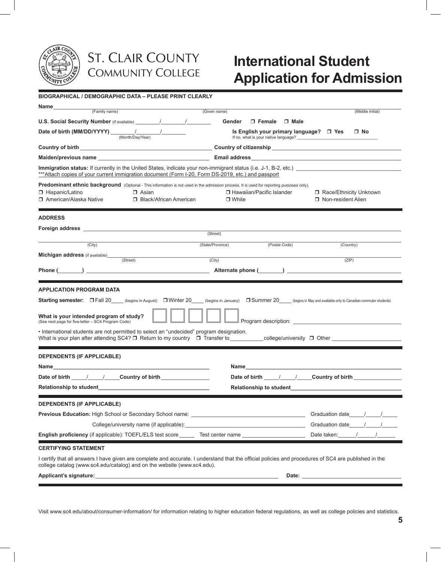

# **International Student Application for Admission**

**BIOGRAPHICAL / DEMOGRAPHIC DATA – PLEASE PRINT CLEARLY**

| (Family name)                                                                                                                                                                                                                    | (Given name)                                                                    | (Middle initial)                                                                  |
|----------------------------------------------------------------------------------------------------------------------------------------------------------------------------------------------------------------------------------|---------------------------------------------------------------------------------|-----------------------------------------------------------------------------------|
|                                                                                                                                                                                                                                  | $\square$ Female<br>Gender<br>$\Box$ Male                                       |                                                                                   |
|                                                                                                                                                                                                                                  |                                                                                 |                                                                                   |
| Date of birth (MM/DD/YYYY) $\frac{1}{(Month/Da)/(Year)}$                                                                                                                                                                         | Is English your primary language? □ Yes<br>If no, what is your native language? | $\Box$ No                                                                         |
|                                                                                                                                                                                                                                  |                                                                                 |                                                                                   |
| Maiden/previous name that the control of the control of the control of Email address that the control of the control of the control of the control of the control of the control of the control of the control of the control    |                                                                                 |                                                                                   |
| Immigration status: If currently in the United States, indicate your non-immigrant status (i.e. J-1, B-2, etc.)<br>***Attach copies of your current immigration document (Form I-20, Form DS-2019, etc.) and passport            |                                                                                 |                                                                                   |
| Predominant ethnic background (Optional - This information is not used in the admission process. It is used for reporting purposes only).                                                                                        |                                                                                 |                                                                                   |
| □ Hispanic/Latino<br>$\Box$ Asian<br>□ American/Alaska Native<br>□ Black/African American                                                                                                                                        | □ Hawaiian/Pacific Islander<br>$\Box$ White                                     | Race/Ethnicity Unknown<br>□ Non-resident Alien                                    |
|                                                                                                                                                                                                                                  |                                                                                 |                                                                                   |
| <b>ADDRESS</b>                                                                                                                                                                                                                   |                                                                                 |                                                                                   |
|                                                                                                                                                                                                                                  |                                                                                 |                                                                                   |
|                                                                                                                                                                                                                                  | (Street)                                                                        |                                                                                   |
| (City)                                                                                                                                                                                                                           | (Postal Code)<br>(State/Province)                                               | (Country)                                                                         |
| Michigan address (if available)____<br>(Street)                                                                                                                                                                                  | (City)                                                                          | (ZIP)                                                                             |
|                                                                                                                                                                                                                                  |                                                                                 |                                                                                   |
|                                                                                                                                                                                                                                  |                                                                                 |                                                                                   |
| <b>APPLICATION PROGRAM DATA</b>                                                                                                                                                                                                  |                                                                                 |                                                                                   |
| <b>Starting semester:</b> $\Box$ Fall 20 (begins in August) $\Box$ Winter 20 (begins in January)                                                                                                                                 |                                                                                 | <b>Summer 20</b> (begins in May and available only to Canadian commuter students) |
|                                                                                                                                                                                                                                  |                                                                                 |                                                                                   |
| What is your intended program of study?<br>(See next page for five-letter - SC4 Program Code)                                                                                                                                    |                                                                                 |                                                                                   |
| . International students are not permitted to select an "undecided" program designation.                                                                                                                                         |                                                                                 |                                                                                   |
|                                                                                                                                                                                                                                  |                                                                                 |                                                                                   |
| <b>DEPENDENTS (IF APPLICABLE)</b>                                                                                                                                                                                                |                                                                                 |                                                                                   |
|                                                                                                                                                                                                                                  | <u>Name ____________________________</u>                                        |                                                                                   |
|                                                                                                                                                                                                                                  |                                                                                 | Date of birth 1 / Country of birth                                                |
|                                                                                                                                                                                                                                  |                                                                                 |                                                                                   |
|                                                                                                                                                                                                                                  |                                                                                 |                                                                                   |
| <b>DEPENDENTS (IF APPLICABLE)</b>                                                                                                                                                                                                |                                                                                 |                                                                                   |
|                                                                                                                                                                                                                                  |                                                                                 |                                                                                   |
| College/university name (if applicable): Manual According to the College/university name (if applicable):                                                                                                                        |                                                                                 |                                                                                   |
| <b>English proficiency</b> (if applicable): TOEFL/ELS test score Test center name                                                                                                                                                |                                                                                 | Date taken:                                                                       |
| <b>CERTIFYING STATEMENT</b>                                                                                                                                                                                                      |                                                                                 |                                                                                   |
| I certify that all answers I have given are complete and accurate. I understand that the official policies and procedures of SC4 are published in the<br>college catalog (www.sc4.edu/catalog) and on the website (www.sc4.edu). |                                                                                 |                                                                                   |
| Applicant's signature:                                                                                                                                                                                                           | Date:                                                                           |                                                                                   |

Visit www.sc4.edu/about/consumer-information/ for information relating to higher education federal regulations, as well as college policies and statistics.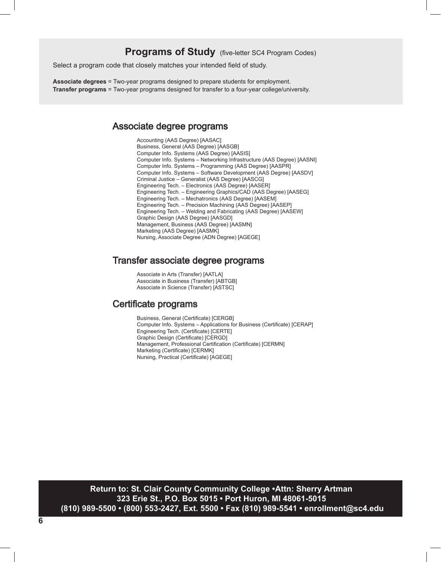#### **Programs of Study** (five-letter SC4 Program Codes)

Select a program code that closely matches your intended field of study.

**Associate degrees** = Two-year programs designed to prepare students for employment. **Transfer programs** = Two-year programs designed for transfer to a four-year college/university.

#### Associate degree programs

Accounting (AAS Degree) [AASAC] Business, General (AAS Degree) [AASGB] Computer Info. Systems (AAS Degree) [AASIS] Computer Info. Systems – Networking Infrastructure (AAS Degree) [AASNI] Computer Info. Systems – Programming (AAS Degree) [AASPR] Computer Info. Systems – Software Development (AAS Degree) [AASDV] Criminal Justice – Generalist (AAS Degree) [AASCG] Engineering Tech. – Electronics (AAS Degree) [AASER] Engineering Tech. – Engineering Graphics/CAD (AAS Degree) [AASEG] Engineering Tech. – Mechatronics (AAS Degree) [AASEM] Engineering Tech. – Precision Machining (AAS Degree) [AASEP] Engineering Tech. – Welding and Fabricating (AAS Degree) [AASEW] Graphic Design (AAS Degree) [AASGD] Management, Business (AAS Degree) [AASMN] Marketing (AAS Degree) [AASMK] Nursing, Associate Degree (ADN Degree) [AGEGE]

#### Transfer associate degree programs

Associate in Arts (Transfer) [AATLA] Associate in Business (Transfer) [ABTGB] Associate in Science (Transfer) [ASTSC]

#### Certificate programs

Business, General (Certificate) [CERGB] Computer Info. Systems – Applications for Business (Certificate) [CERAP] Engineering Tech. (Certificate) [CERTE] Graphic Design (Certificate) [CERGD] Management, Professional Certification (Certificate) [CERMN] Marketing (Certificate) [CERMK] Nursing, Practical (Certificate) [AGEGE]

**Return to: St. Clair County Community College • Return to: St. Clair County Community College • Attn: Sherry Romzek Artman 323 Erie St., P.O. Box 5015 • Port Huron, MI 48061-5015 (810) 989-5500 • (800) 553-2427, Ext. 5500 • Fax (810) 989-5541 • enrollment@sc4.edu**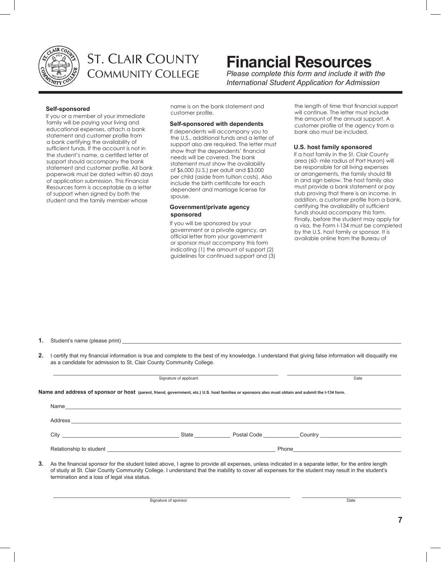

# **Financial Resources**

*Please complete this form and include it with the International Student Application for Admission*

#### **Self-sponsored**

If you or a member of your immediate family will be paying your living and educational expenses, attach a bank statement and customer profile from a bank certifying the availability of sufficient funds. If the account is not in the student's name, a certified letter of support should accompany the bank statement and customer profile. All bank paperwork must be dated within 60 days of application submission. This Financial Resources form is acceptable as a letter of support when signed by both the student and the family member whose

name is on the bank statement and customer profile.

#### **Self-sponsored with dependents**

If dependents will accompany you to the U.S., additional funds and a letter of support also are required. The letter must show that the dependents' financial needs will be covered. The bank statement must show the availability of \$6,000 (U.S.) per adult and \$3,000 per child (aside from tuition costs). Also include the birth certificate for each dependent and marriage license for spouse.

#### **Government/private agency sponsored**

If you will be sponsored by your government or a private agency, an official letter from your government or sponsor must accompany this form indicating (1) the amount of support (2) guidelines for continued support and (3)

the length of time that financial support will continue. The letter must include the amount of the annual support. A customer profile of the agency from a bank also must be included.

#### **U.S. host family sponsored**

If a host family in the St. Clair County area (60- mile radius of Port Huron) will be responsible for all living expenses or arrangements, the family should fill in and sign below. The host family also must provide a bank statement or pay stub proving that there is an income. In addition, a customer profile from a bank, certifying the availability of sufficient funds should accompany this form. Finally, before the student may apply for a visa, the Form I-134 must be completed by the U.S. host family or sponsor. It is available online from the Bureau of

**1.** Student's name (please print)

**2.** I certify that my financial information is true and complete to the best of my knowledge. I understand that giving false information will disqualify me as a candidate for admission to St. Clair County Community College.

|                                                                                                                                                                                                                                                                                                                                                              | Date |  |
|--------------------------------------------------------------------------------------------------------------------------------------------------------------------------------------------------------------------------------------------------------------------------------------------------------------------------------------------------------------|------|--|
| Name and address of sponsor or host (parent, friend, government, etc.) U.S. host families or sponsors also must obtain and submit the I-134 form.                                                                                                                                                                                                            |      |  |
|                                                                                                                                                                                                                                                                                                                                                              |      |  |
|                                                                                                                                                                                                                                                                                                                                                              |      |  |
| City City Country Country Country Country Country Country Country Country Country Country Country Country Country Country Country Country Country Country Country Country Country Country Country Country Country Country Coun                                                                                                                               |      |  |
|                                                                                                                                                                                                                                                                                                                                                              |      |  |
| 3. As the financial sponsor for the student listed above, I agree to provide all expenses, unless indicated in a separate letter, for the entire length<br>of study at St. Clair County Community College. I understand that the inability to cover all expenses for the student may result in the student's<br>termination and a loss of legal visa status. |      |  |

\_\_\_\_\_\_\_\_\_\_\_\_\_\_\_\_\_\_\_\_\_\_\_\_\_\_\_\_\_\_\_\_\_\_\_\_\_\_\_\_\_\_\_\_\_\_\_\_\_\_\_\_\_\_\_\_\_\_\_\_\_\_\_\_\_\_\_\_\_\_\_\_\_\_\_\_\_\_\_ \_\_\_\_\_\_\_\_\_\_\_\_\_\_\_\_\_\_\_\_\_\_\_\_\_\_\_\_\_\_\_\_\_ Signature of sponsor Date Date of Signature of Signature of Signature of Signature of Signature of Signature of Signature of Signature of Signature of Signature of Signature of Signature of Signature of Signature of Signat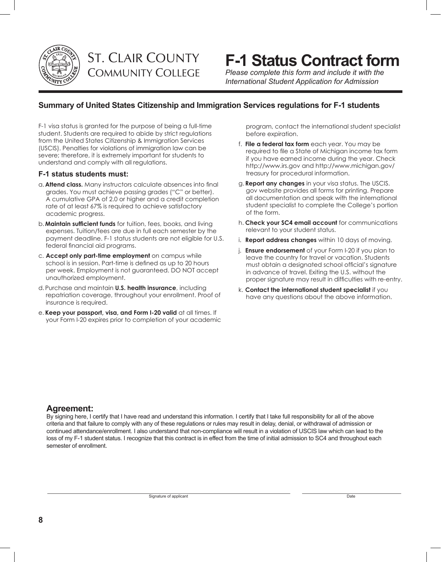

# **F-1 Status Contract form**

*Please complete this form and include it with the International Student Application for Admission*

#### **Summary of United States Citizenship and Immigration Services regulations for F-1 students**

F-1 visa status is granted for the purpose of being a full-time student. Students are required to abide by strict regulations from the United States Citizenship & Immigration Services (USCIS). Penalties for violations of immigration law can be severe; therefore, it is extremely important for students to understand and comply with all regulations.

#### **F-1 status students must:**

- a. **Attend class.** Many instructors calculate absences into final grades. You must achieve passing grades ("C" or better). A cumulative GPA of 2.0 or higher and a credit completion rate of at least 67% is required to achieve satisfactory academic progress.
- b. **Maintain sufficient funds** for tuition, fees, books, and living expenses. Tuition/fees are due in full each semester by the payment deadline. F-1 status students are not eligible for U.S. federal financial aid programs.
- c. **Accept only part-time employment** on campus while school is in session. Part-time is defined as up to 20 hours per week. Employment is not guaranteed. DO NOT accept unauthorized employment.
- d. Purchase and maintain **U.S. health insurance**, including repatriation coverage, throughout your enrollment. Proof of insurance is required.
- e. **Keep your passport, visa, and Form I-20 valid** at all times. If your Form I-20 expires prior to completion of your academic

program, contact the international student specialist before expiration.

- f. **File a federal tax form** each year. You may be required to file a State of Michigan income tax form if you have earned income during the year. Check http://www.irs.gov and http://www.michigan.gov/ treasury for procedural information.
- g. **Report any changes** in your visa status. The USCIS. gov website provides all forms for printing. Prepare all documentation and speak with the international student specialist to complete the College's portion of the form.
- h. **Check your SC4 email account** for communications relevant to your student status.
- i. **Report address changes** within 10 days of moving.
- j. **Ensure endorsement** of your Form I-20 if you plan to leave the country for travel or vacation. Students must obtain a designated school official's signature in advance of travel. Exiting the U.S. without the proper signature may result in difficulties with re-entry.
- k. **Contact the international student specialist** if you have any questions about the above information.

#### **Agreement:**

By signing here, I certify that I have read and understand this information. I certify that I take full responsibility for all of the above criteria and that failure to comply with any of these regulations or rules may result in delay, denial, or withdrawal of admission or continued attendance/enrollment. I also understand that non-compliance will result in a violation of USCIS law which can lead to the loss of my F-1 student status. I recognize that this contract is in effect from the time of initial admission to SC4 and throughout each semester of enrollment.